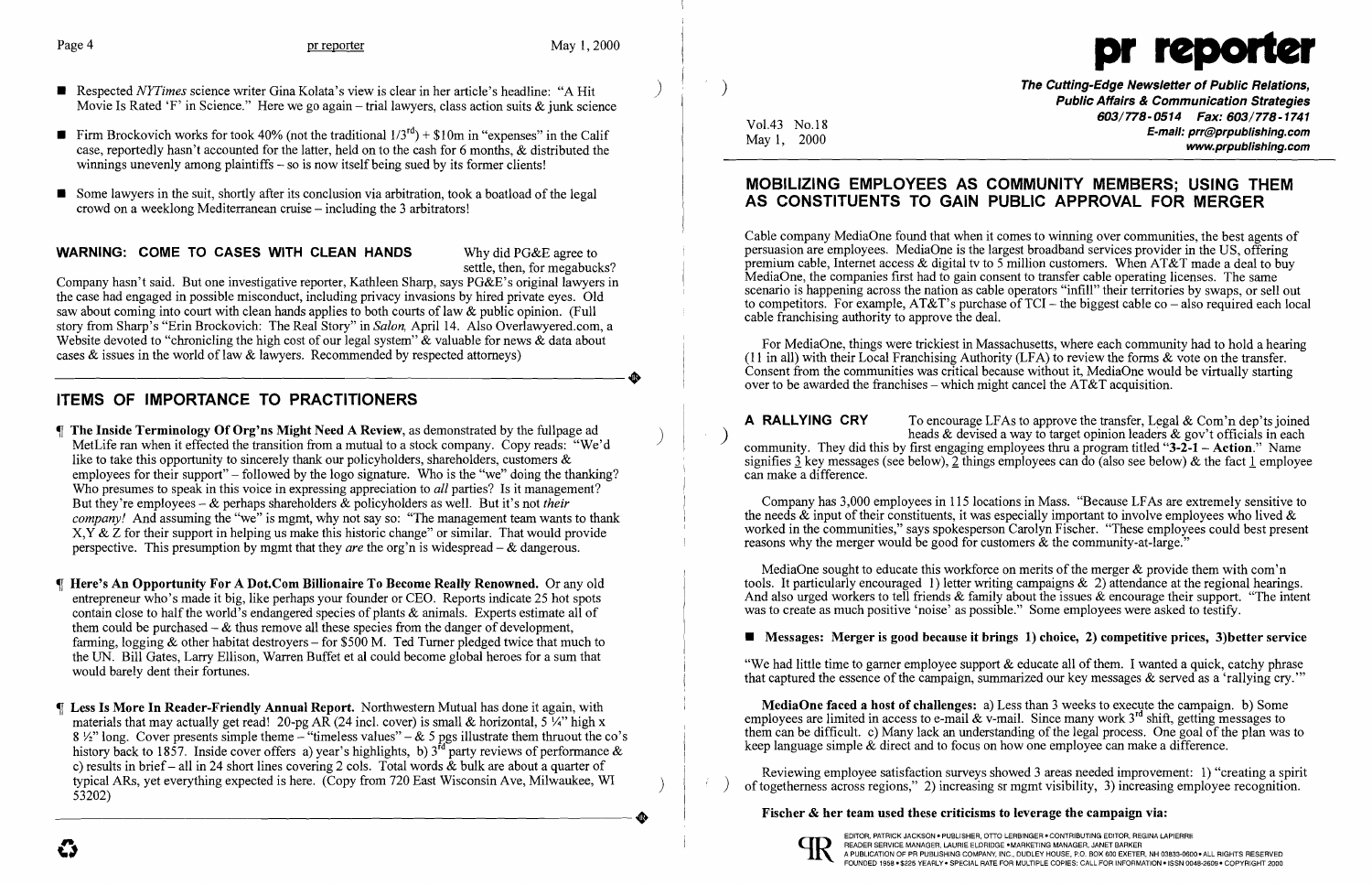- **•** Respected *NYTimes* science writer Gina Kolata's view is clear in her article's headline: "A Hit Movie Is Rated 'F' in Science." Here we go again – trial lawyers, class action suits  $\&$  junk science
- **Firm Brockovich works for took 40% (not the traditional**  $1/3^{rd}$ **)** + \$10m in "expenses" in the Calif case, reportedly hasn't accounted for the latter, held on to the cash for 6 months, & distributed the winnings unevenly among plaintiffs – so is now itself being sued by its former clients!
- **•** Some lawyers in the suit, shortly after its conclusion via arbitration, took a boatload of the legal crowd on a weeklong Mediterranean cruise – including the 3 arbitrators!

## WARNING: COME TO CASES WITH CLEAN HANDS Why did PG&E agree to



- The Inside Terminology Of Org'ns Might Need A Review, as demonstrated by the fullpage ad ) MetLife ran when it effected the transition from a mutual to a stock company. Copy reads: "We'd like to take this opportunity to sincerely thank our policyholders, shareholders, customers  $\&$ employees for their support" – followed by the logo signature. Who is the "we" doing the thanking? Who presumes to speak in this voice in expressing appreciation to *all* parties? Is it management? But they're employees - & perhaps shareholders & policyholders as well. But it's not *their company!* And assuming the "we" is mgmt, why not say so: "The management team wants to thank  $X, Y \& Z$  for their support in helping us make this historic change" or similar. That would provide perspective. This presumption by mgmt that they *are* the org'n is widespread - & dangerous.
- Here's An Opportunity For A Dot.Com Billionaire To Become Really Renowned. Or any old entrepreneur who's made it big, like perhaps your founder or CEO. Reports indicate 25 hot spots contain close to half the world's endangered species of plants & animals. Experts estimate all of them could be purchased  $-\&$  thus remove all these species from the danger of development, farming, logging & other habitat destroyers – for \$500 M. Ted Turner pledged twice that much to the UN. Bill Gates, Larry Ellison, Warren Buffet et al could become global heroes for a sum that would barely dent their fortunes.
- Less Is More In Reader-Friendly Annual Report. Northwestern Mutual has done it again, with materials that may actually get read! 20-pg AR (24 incl. cover) is small & horizontal, 5  $\frac{1}{4}$ " high x 8 <sup>1</sup>/<sub>2</sub> long. Cover presents simple theme – "timeless values" – & 5 pgs illustrate them thruout the co's history back to 1857. Inside cover offers a) year's highlights, b)  $3^{rd}$  party reviews of performance  $\&$ c) results in brief - all in 24 short lines covering 2 cols. Total words  $\&$  bulk are about a quarter of typical ARs, yet everything expected is here. (Copy from 720 East Wisconsin Ave, Milwaukee, WI )<br>53202)

settle, then, for megabucks?

Company hasn't said. But one investigative reporter, Kathleen Sharp, says PG&E's original lawyers in the case had engaged in possible misconduct, including privacy invasions by hired private eyes. Old saw about coming into court with clean hands applies to both courts of law & public opinion. (Full story from Sharp's "Erin Brockovich: The Real Story" in *Salon,* April 14. Also Overlawyered.com, a Website devoted to "chronicling the high cost of our legal system" & valuable for news & data about cases & issues in the world of law & lawyers. Recommended by respected attorneys) cases & issues in the world of law & lawyers. Recommended by respected attorneys)

# ITEMS OF IMPORTANCE TO PRACTITIONERS

) The Cutting-Edge Newsletter of Public Relations, Public Affairs & Communication Strategies 603/778-0514 Fax: 603/778-1741 Vol.43 No.18<br>May 1, 2000 **E-mail: prr@prpublishing.com**<br>www.prpublishing.com www.pr

For MediaOne, things were trickiest in Massachusetts, where each community had to hold a hearing (11 in all) with their Local Franchising Authority (LFA) to review the forms & vote on the transfer. Consent from the communities was critical because without it, MediaOne would be virtually starting over to be awarded the franchises – which might cancel the  $AT&T$  acquisition.

**A** RALLYING CRY To encourage LFAs to approve the transfer, Legal  $\&$  Com'n dep'ts joined ) heads & devised a way to target opinion leaders & gov't officials in each community. They did this by first engaging employees thru a program titled "3-2-1 - Action." Name signifies 3 key messages (see below), 2 things employees can do (also see below) & the fact 1 employee can make a difference.

MediaOne sought to educate this workforce on merits of the merger  $\&$  provide them with com'n tools. It particularly encouraged 1) letter writing campaigns & 2) attendance at the regional hearings. And also urged workers to tell friends & family about the issues & encourage their support. "The intent was to create as much positive 'noise' as possible." Some employees were asked to testify.

### ■ Messages: Merger is good because it brings 1) choice, 2) competitive prices, 3) better service

## MOBILIZING EMPLOYEES AS COMMUNITY MEMBERS; USING THEM AS CONSTITUENTS TO GAIN PUBLIC APPROVAL FOR MERGER

Cable company MediaOne found that when it comes to winning over communities, the best agents of persuasion are employees. MediaOne is the largest broadband services provider in the US, offering premium cable, Internet access & digital tv to 5 million customers. When AT&T made a deal to buy MediaOne, the companies first had to gain consent to transfer cable operating licenses. The same scenario is happening across the nation as cable operators "infill" their territories by swaps, or sell out to competitors. For example,  $AT&T$ 's purchase of  $TCI$  – the biggest cable co – also required each local cable franchising authority to approve the deal.

Company has 3,000 employees in 115 locations in Mass. "Because LFAs are extremely sensitive to the needs  $\&$  input of their constituents, it was especially important to involve employees who lived  $\&$ worked in the communities," says spokesperson Carolyn Fischer. "These employees could best present reasons why the merger would be good for customers & the community-at-Iarge."

"We had little time to gamer employee support & educate all of them. I wanted a quick, catchy phrase that captured the essence of the campaign, summarized our key messages & served as a 'rallying cry.'"

MediaOne faced a host of challenges: a) Less than 3 weeks to execute the campaign. b) Some employees are limited in access to e-mail  $\&$  v-mail. Since many work 3<sup>rd</sup> shift, getting messages to them can be difficult. c) Many lack an understanding of the legal process. One goal of the plan was to keep language simple & direct and to focus on how one employee can make a difference.

Reviewing employee satisfaction surveys showed 3 areas needed improvement: 1) "creating a spirit of togetherness across regions," 2) increasing sr mgmt visibility, 3) increasing employee recognition.

## Fischer & her team used these criticisms to leverage the campaign via: